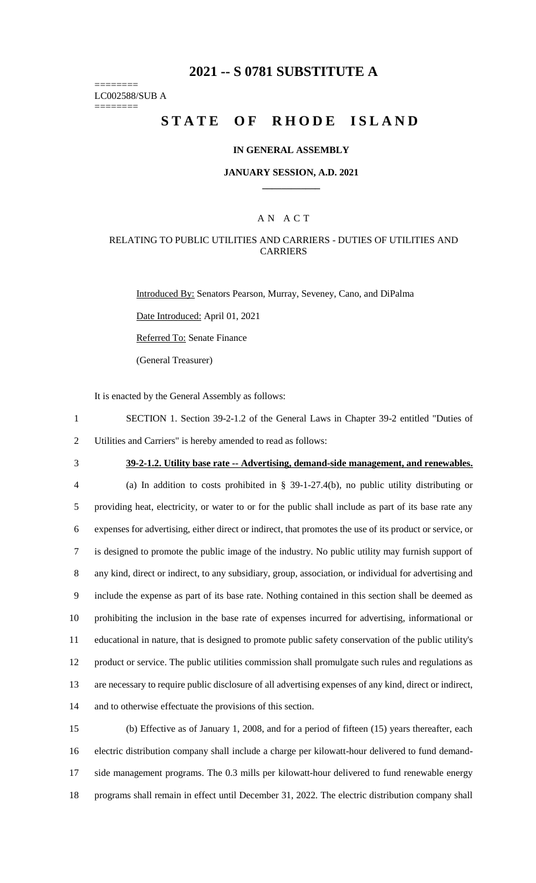## **2021 -- S 0781 SUBSTITUTE A**

======== LC002588/SUB A

========

# **STATE OF RHODE ISLAND**

#### **IN GENERAL ASSEMBLY**

#### **JANUARY SESSION, A.D. 2021 \_\_\_\_\_\_\_\_\_\_\_\_**

### A N A C T

### RELATING TO PUBLIC UTILITIES AND CARRIERS - DUTIES OF UTILITIES AND CARRIERS

Introduced By: Senators Pearson, Murray, Seveney, Cano, and DiPalma

Date Introduced: April 01, 2021

Referred To: Senate Finance

(General Treasurer)

It is enacted by the General Assembly as follows:

- 1 SECTION 1. Section 39-2-1.2 of the General Laws in Chapter 39-2 entitled "Duties of 2 Utilities and Carriers" is hereby amended to read as follows:
- 

## 3 **39-2-1.2. Utility base rate -- Advertising, demand-side management, and renewables.**

 (a) In addition to costs prohibited in § 39-1-27.4(b), no public utility distributing or providing heat, electricity, or water to or for the public shall include as part of its base rate any expenses for advertising, either direct or indirect, that promotes the use of its product or service, or is designed to promote the public image of the industry. No public utility may furnish support of any kind, direct or indirect, to any subsidiary, group, association, or individual for advertising and include the expense as part of its base rate. Nothing contained in this section shall be deemed as prohibiting the inclusion in the base rate of expenses incurred for advertising, informational or educational in nature, that is designed to promote public safety conservation of the public utility's product or service. The public utilities commission shall promulgate such rules and regulations as are necessary to require public disclosure of all advertising expenses of any kind, direct or indirect, and to otherwise effectuate the provisions of this section.

 (b) Effective as of January 1, 2008, and for a period of fifteen (15) years thereafter, each electric distribution company shall include a charge per kilowatt-hour delivered to fund demand- side management programs. The 0.3 mills per kilowatt-hour delivered to fund renewable energy programs shall remain in effect until December 31, 2022. The electric distribution company shall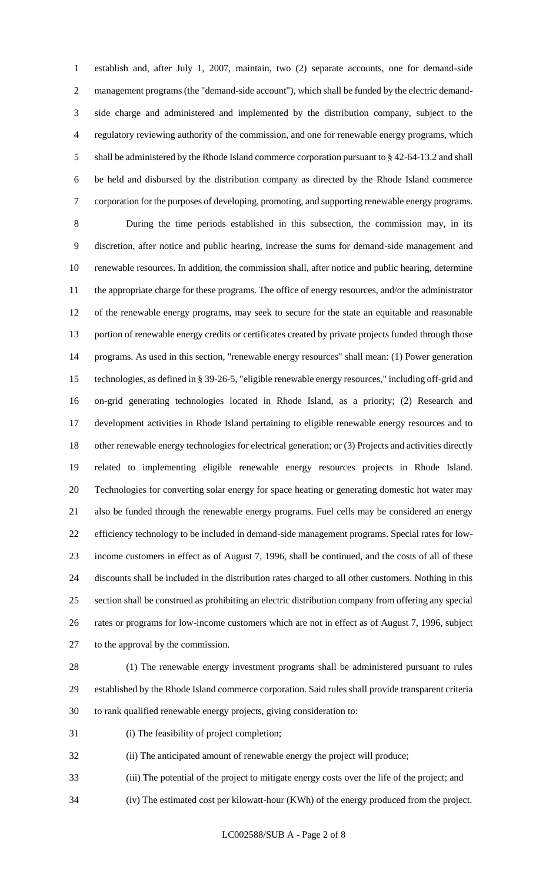establish and, after July 1, 2007, maintain, two (2) separate accounts, one for demand-side management programs (the "demand-side account"), which shall be funded by the electric demand- side charge and administered and implemented by the distribution company, subject to the regulatory reviewing authority of the commission, and one for renewable energy programs, which shall be administered by the Rhode Island commerce corporation pursuant to § 42-64-13.2 and shall be held and disbursed by the distribution company as directed by the Rhode Island commerce corporation for the purposes of developing, promoting, and supporting renewable energy programs.

 During the time periods established in this subsection, the commission may, in its discretion, after notice and public hearing, increase the sums for demand-side management and renewable resources. In addition, the commission shall, after notice and public hearing, determine the appropriate charge for these programs. The office of energy resources, and/or the administrator of the renewable energy programs, may seek to secure for the state an equitable and reasonable portion of renewable energy credits or certificates created by private projects funded through those programs. As used in this section, "renewable energy resources" shall mean: (1) Power generation technologies, as defined in § 39-26-5, "eligible renewable energy resources," including off-grid and on-grid generating technologies located in Rhode Island, as a priority; (2) Research and development activities in Rhode Island pertaining to eligible renewable energy resources and to other renewable energy technologies for electrical generation; or (3) Projects and activities directly related to implementing eligible renewable energy resources projects in Rhode Island. Technologies for converting solar energy for space heating or generating domestic hot water may also be funded through the renewable energy programs. Fuel cells may be considered an energy efficiency technology to be included in demand-side management programs. Special rates for low- income customers in effect as of August 7, 1996, shall be continued, and the costs of all of these discounts shall be included in the distribution rates charged to all other customers. Nothing in this section shall be construed as prohibiting an electric distribution company from offering any special rates or programs for low-income customers which are not in effect as of August 7, 1996, subject to the approval by the commission.

 (1) The renewable energy investment programs shall be administered pursuant to rules established by the Rhode Island commerce corporation. Said rules shall provide transparent criteria to rank qualified renewable energy projects, giving consideration to:

(i) The feasibility of project completion;

(ii) The anticipated amount of renewable energy the project will produce;

(iii) The potential of the project to mitigate energy costs over the life of the project; and

(iv) The estimated cost per kilowatt-hour (KWh) of the energy produced from the project.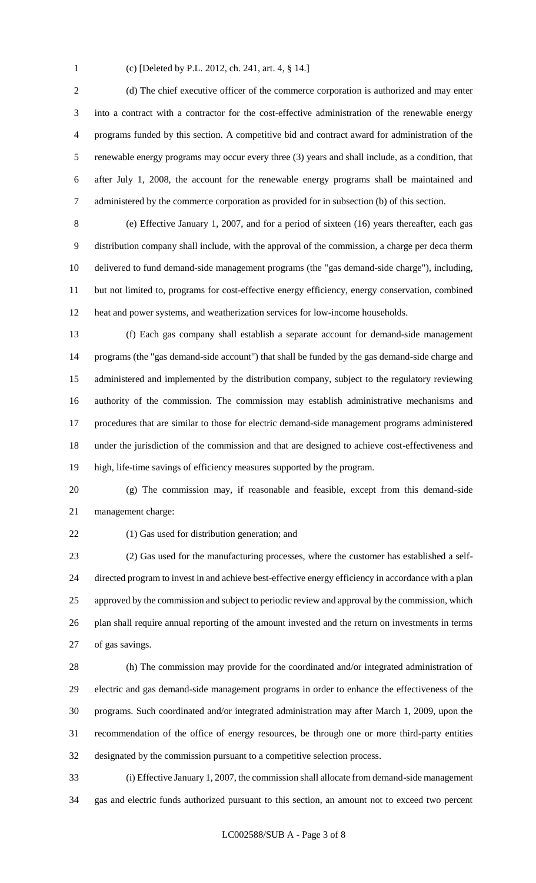(c) [Deleted by P.L. 2012, ch. 241, art. 4, § 14.]

 (d) The chief executive officer of the commerce corporation is authorized and may enter into a contract with a contractor for the cost-effective administration of the renewable energy programs funded by this section. A competitive bid and contract award for administration of the renewable energy programs may occur every three (3) years and shall include, as a condition, that after July 1, 2008, the account for the renewable energy programs shall be maintained and administered by the commerce corporation as provided for in subsection (b) of this section.

 (e) Effective January 1, 2007, and for a period of sixteen (16) years thereafter, each gas distribution company shall include, with the approval of the commission, a charge per deca therm delivered to fund demand-side management programs (the "gas demand-side charge"), including, but not limited to, programs for cost-effective energy efficiency, energy conservation, combined heat and power systems, and weatherization services for low-income households.

 (f) Each gas company shall establish a separate account for demand-side management programs (the "gas demand-side account") that shall be funded by the gas demand-side charge and administered and implemented by the distribution company, subject to the regulatory reviewing authority of the commission. The commission may establish administrative mechanisms and procedures that are similar to those for electric demand-side management programs administered under the jurisdiction of the commission and that are designed to achieve cost-effectiveness and high, life-time savings of efficiency measures supported by the program.

 (g) The commission may, if reasonable and feasible, except from this demand-side management charge:

(1) Gas used for distribution generation; and

 (2) Gas used for the manufacturing processes, where the customer has established a self- directed program to invest in and achieve best-effective energy efficiency in accordance with a plan 25 approved by the commission and subject to periodic review and approval by the commission, which plan shall require annual reporting of the amount invested and the return on investments in terms of gas savings.

 (h) The commission may provide for the coordinated and/or integrated administration of electric and gas demand-side management programs in order to enhance the effectiveness of the programs. Such coordinated and/or integrated administration may after March 1, 2009, upon the recommendation of the office of energy resources, be through one or more third-party entities designated by the commission pursuant to a competitive selection process.

 (i) Effective January 1, 2007, the commission shall allocate from demand-side management gas and electric funds authorized pursuant to this section, an amount not to exceed two percent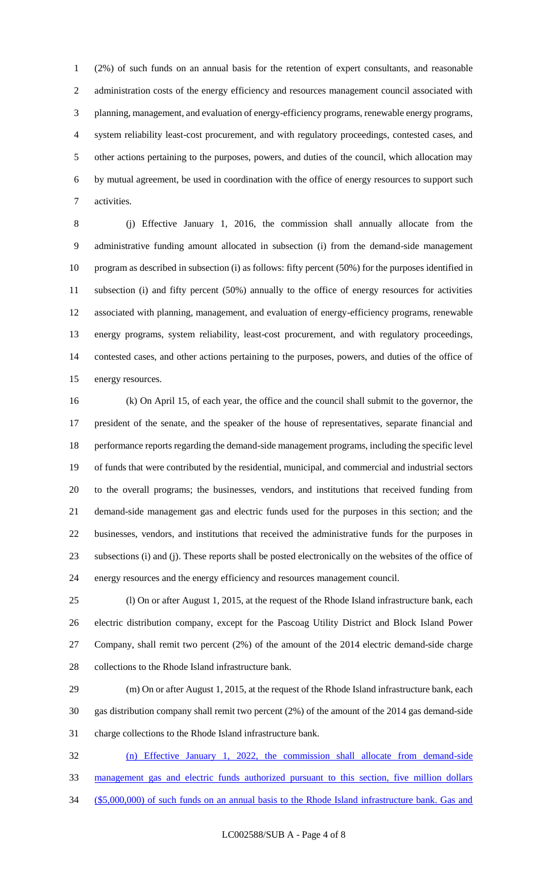(2%) of such funds on an annual basis for the retention of expert consultants, and reasonable 2 administration costs of the energy efficiency and resources management council associated with planning, management, and evaluation of energy-efficiency programs, renewable energy programs, system reliability least-cost procurement, and with regulatory proceedings, contested cases, and other actions pertaining to the purposes, powers, and duties of the council, which allocation may by mutual agreement, be used in coordination with the office of energy resources to support such activities.

 (j) Effective January 1, 2016, the commission shall annually allocate from the administrative funding amount allocated in subsection (i) from the demand-side management program as described in subsection (i) as follows: fifty percent (50%) for the purposes identified in subsection (i) and fifty percent (50%) annually to the office of energy resources for activities associated with planning, management, and evaluation of energy-efficiency programs, renewable energy programs, system reliability, least-cost procurement, and with regulatory proceedings, contested cases, and other actions pertaining to the purposes, powers, and duties of the office of energy resources.

 (k) On April 15, of each year, the office and the council shall submit to the governor, the president of the senate, and the speaker of the house of representatives, separate financial and performance reports regarding the demand-side management programs, including the specific level of funds that were contributed by the residential, municipal, and commercial and industrial sectors to the overall programs; the businesses, vendors, and institutions that received funding from demand-side management gas and electric funds used for the purposes in this section; and the businesses, vendors, and institutions that received the administrative funds for the purposes in subsections (i) and (j). These reports shall be posted electronically on the websites of the office of energy resources and the energy efficiency and resources management council.

 (l) On or after August 1, 2015, at the request of the Rhode Island infrastructure bank, each electric distribution company, except for the Pascoag Utility District and Block Island Power Company, shall remit two percent (2%) of the amount of the 2014 electric demand-side charge collections to the Rhode Island infrastructure bank.

 (m) On or after August 1, 2015, at the request of the Rhode Island infrastructure bank, each gas distribution company shall remit two percent (2%) of the amount of the 2014 gas demand-side charge collections to the Rhode Island infrastructure bank.

 (n) Effective January 1, 2022, the commission shall allocate from demand-side management gas and electric funds authorized pursuant to this section, five million dollars (\$5,000,000) of such funds on an annual basis to the Rhode Island infrastructure bank. Gas and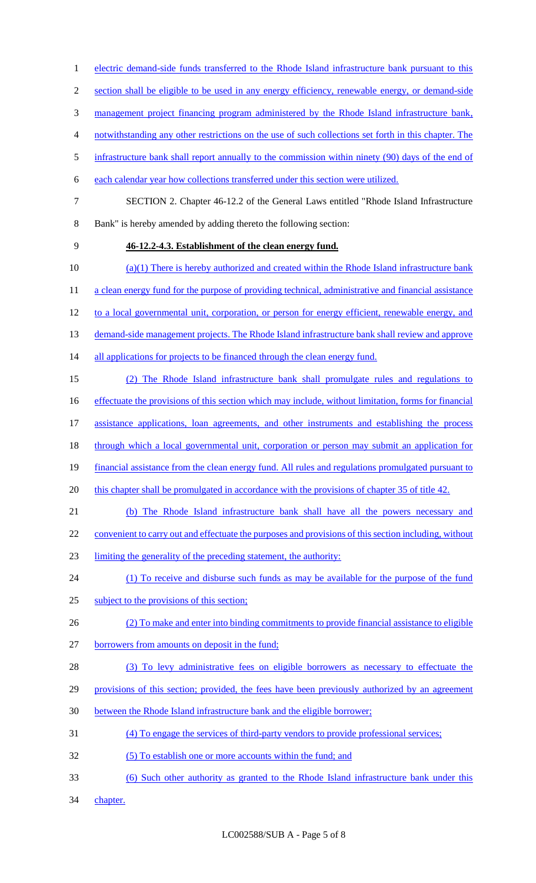section shall be eligible to be used in any energy efficiency, renewable energy, or demand-side 3 management project financing program administered by the Rhode Island infrastructure bank, notwithstanding any other restrictions on the use of such collections set forth in this chapter. The 5 infrastructure bank shall report annually to the commission within ninety (90) days of the end of each calendar year how collections transferred under this section were utilized. SECTION 2. Chapter 46-12.2 of the General Laws entitled "Rhode Island Infrastructure Bank" is hereby amended by adding thereto the following section: **46-12.2-4.3. Establishment of the clean energy fund.**  10 (a)(1) There is hereby authorized and created within the Rhode Island infrastructure bank 11 a clean energy fund for the purpose of providing technical, administrative and financial assistance to a local governmental unit, corporation, or person for energy efficient, renewable energy, and 13 demand-side management projects. The Rhode Island infrastructure bank shall review and approve 14 all applications for projects to be financed through the clean energy fund. (2) The Rhode Island infrastructure bank shall promulgate rules and regulations to effectuate the provisions of this section which may include, without limitation, forms for financial assistance applications, loan agreements, and other instruments and establishing the process through which a local governmental unit, corporation or person may submit an application for financial assistance from the clean energy fund. All rules and regulations promulgated pursuant to 20 this chapter shall be promulgated in accordance with the provisions of chapter 35 of title 42. (b) The Rhode Island infrastructure bank shall have all the powers necessary and 22 convenient to carry out and effectuate the purposes and provisions of this section including, without limiting the generality of the preceding statement, the authority: 24 (1) To receive and disburse such funds as may be available for the purpose of the fund subject to the provisions of this section; (2) To make and enter into binding commitments to provide financial assistance to eligible 27 borrowers from amounts on deposit in the fund; 28 (3) To levy administrative fees on eligible borrowers as necessary to effectuate the provisions of this section; provided, the fees have been previously authorized by an agreement between the Rhode Island infrastructure bank and the eligible borrower; (4) To engage the services of third-party vendors to provide professional services; (5) To establish one or more accounts within the fund; and (6) Such other authority as granted to the Rhode Island infrastructure bank under this 34 chapter.

1 electric demand-side funds transferred to the Rhode Island infrastructure bank pursuant to this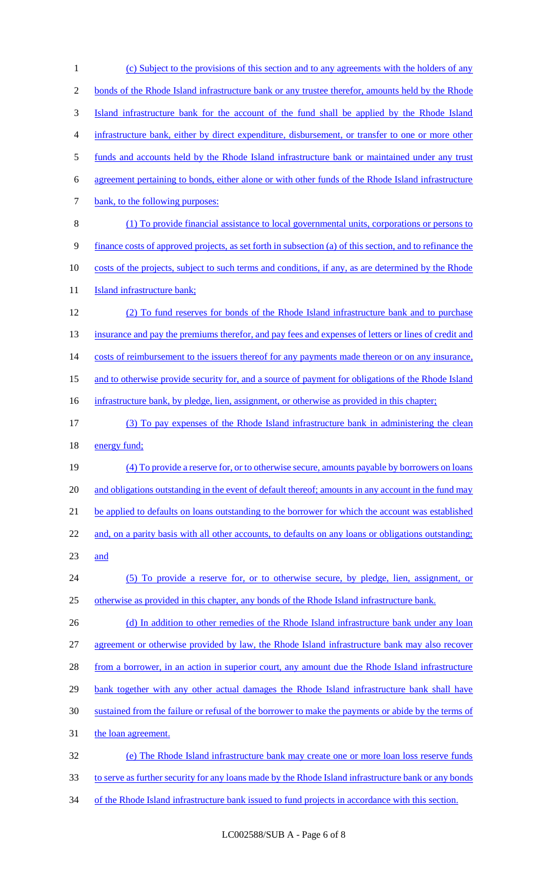1 (c) Subject to the provisions of this section and to any agreements with the holders of any 2 bonds of the Rhode Island infrastructure bank or any trustee therefor, amounts held by the Rhode 3 Island infrastructure bank for the account of the fund shall be applied by the Rhode Island 4 infrastructure bank, either by direct expenditure, disbursement, or transfer to one or more other 5 funds and accounts held by the Rhode Island infrastructure bank or maintained under any trust 6 agreement pertaining to bonds, either alone or with other funds of the Rhode Island infrastructure 7 bank, to the following purposes: 8 (1) To provide financial assistance to local governmental units, corporations or persons to 9 finance costs of approved projects, as set forth in subsection (a) of this section, and to refinance the 10 costs of the projects, subject to such terms and conditions, if any, as are determined by the Rhode 11 **Island infrastructure bank;** 12 (2) To fund reserves for bonds of the Rhode Island infrastructure bank and to purchase 13 insurance and pay the premiums therefor, and pay fees and expenses of letters or lines of credit and 14 costs of reimbursement to the issuers thereof for any payments made thereon or on any insurance, 15 and to otherwise provide security for, and a source of payment for obligations of the Rhode Island 16 infrastructure bank, by pledge, lien, assignment, or otherwise as provided in this chapter; 17 (3) To pay expenses of the Rhode Island infrastructure bank in administering the clean 18 energy fund; 19 (4) To provide a reserve for, or to otherwise secure, amounts payable by borrowers on loans 20 and obligations outstanding in the event of default thereof; amounts in any account in the fund may 21 be applied to defaults on loans outstanding to the borrower for which the account was established 22 and, on a parity basis with all other accounts, to defaults on any loans or obligations outstanding; 23 and 24 (5) To provide a reserve for, or to otherwise secure, by pledge, lien, assignment, or 25 otherwise as provided in this chapter, any bonds of the Rhode Island infrastructure bank. 26 (d) In addition to other remedies of the Rhode Island infrastructure bank under any loan 27 agreement or otherwise provided by law, the Rhode Island infrastructure bank may also recover 28 from a borrower, in an action in superior court, any amount due the Rhode Island infrastructure 29 bank together with any other actual damages the Rhode Island infrastructure bank shall have 30 sustained from the failure or refusal of the borrower to make the payments or abide by the terms of 31 the loan agreement. 32 (e) The Rhode Island infrastructure bank may create one or more loan loss reserve funds 33 to serve as further security for any loans made by the Rhode Island infrastructure bank or any bonds

34 of the Rhode Island infrastructure bank issued to fund projects in accordance with this section.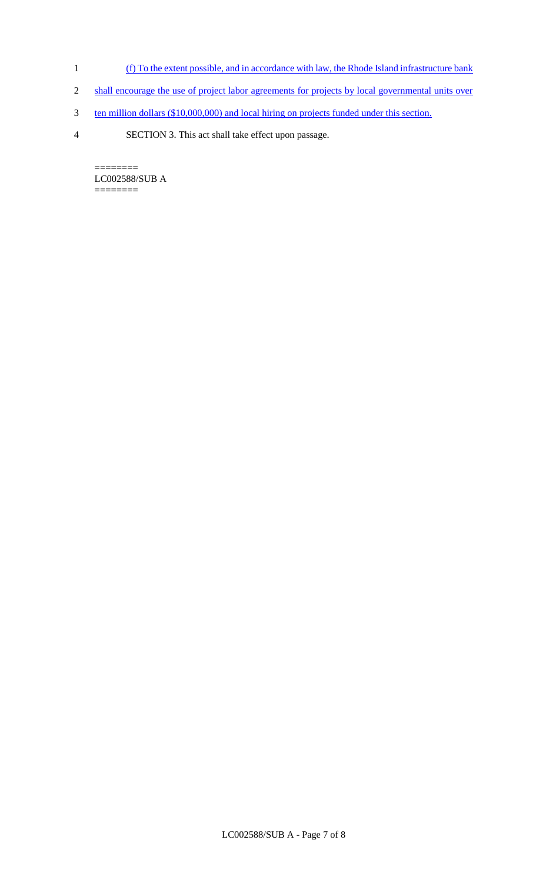- 1 (f) To the extent possible, and in accordance with law, the Rhode Island infrastructure bank
- 2 shall encourage the use of project labor agreements for projects by local governmental units over
- 3 ten million dollars (\$10,000,000) and local hiring on projects funded under this section.
- 4 SECTION 3. This act shall take effect upon passage.

======== LC002588/SUB A  $=$